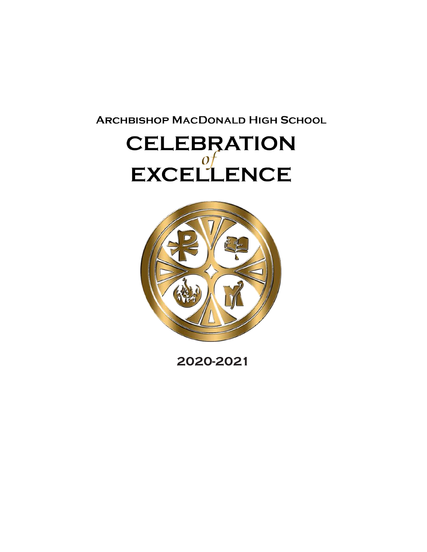**ARCHBISHOP MACDONALD HIGH SCHOOL** 

# **CELEBRATION** EXCELLENCE



**2020-2021**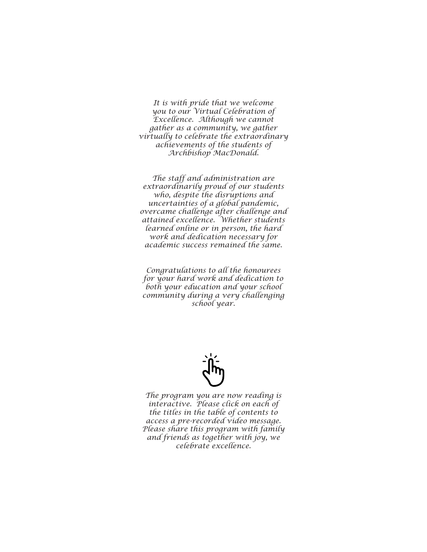*It is with pride that we welcome you to our Virtual Celebration of Excellence. Although we cannot gather as a community, we gather virtually to celebrate the extraordinary achievements of the students of Archbishop MacDonald.* 

*The staff and administration are extraordinarily proud of our students who, despite the disruptions and uncertainties of a global pandemic, overcame challenge after challenge and attained excellence. Whether students learned online or in person, the hard work and dedication necessary for academic success remained the same.* 

*Congratulations to all the honourees for your hard work and dedication to both your education and your school community during a very challenging school year.*



*The program you are now reading is interactive. Please click on each of the titles in the table of contents to access a pre-recorded video message. Please share this program with family and friends as together with joy, we celebrate excellence.*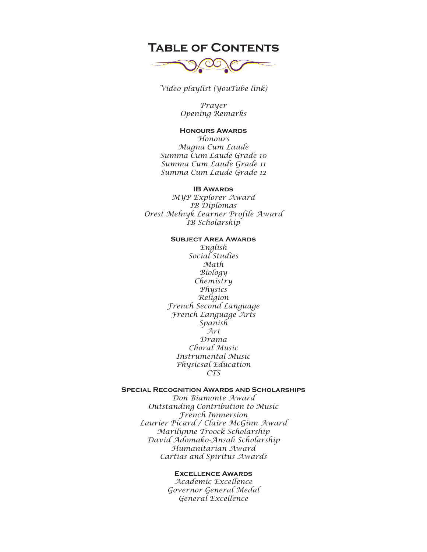## **Table of Contents**



*[Video playlist \(YouTube link\)](https://youtube.com/playlist?list=PLGKXin7QZMzkMs1X3GD2YCAheh0gG0pkg)*

*[Prayer](https://youtu.be/oioZmEtVlAY) [Opening Remarks](https://youtu.be/TrCSYV2P0tc)*

### **Honours Awards**

*[Honours](https://youtu.be/S9vQEJLY5Hk) [Magna Cum Laude](https://youtu.be/jaPdvpuWKXY) [Summa Cum Laude Grade 10](https://youtu.be/YNmf8LHODbY) [Summa Cum Laude Grade 11](https://youtu.be/O645wg36nuw) [Summa Cum Laude Grade 12](https://youtu.be/0qINW6qVMxA)*

#### **IB Awards**

*[MYP Explorer Award](https://youtu.be/gmt30-7IVeg) [IB Diplomas](https://youtu.be/gmt30-7IVeg) [Orest Melnyk Learner Profile Award](https://youtu.be/3rsywMhcqK4) [IB Scholarship](https://youtu.be/Bfwsc9sP0Nw)*

#### **Subject Area Awards**

*[English](https://youtu.be/qEFNxEY6XMA) [Social Studies](https://youtu.be/7My9fkmChjw) [Math](https://youtu.be/HL9LmsyQW3s) [Biology](https://youtu.be/wGyJNEYJxIY) [Chemistry](https://youtu.be/YIUxfMb0z6w) [Physics](https://youtu.be/YSqstGkOupg) [Religion](https://youtu.be/aZAxe5L36ac) [French Second Language](https://youtu.be/J9juMZ6agsw) [French Language Arts](https://youtu.be/w-n9uOpkV1Y) [Spanish](https://youtu.be/cCBtDkZ5RWw) [Art](https://youtu.be/pqjimFQK0Fg) [Drama](https://youtu.be/Lguo6cJZZQA) [Choral Music](https://youtu.be/Ibys-x9O0sE) [Instrumental Music](https://youtu.be/7oEAMXj2eJ8) [Physicsal Education](https://youtu.be/gDvP_7ERijk) [CTS](https://youtu.be/Z3KjtzENK70)*

#### **Special Recognition Awards and Scholarships**

*[Don Biamonte Award](https://youtu.be/m1_4tosgmGM) [Outstanding Contribution to Music](https://youtu.be/pL5HHwkToWQ) [French Immersion](https://youtu.be/99MYd6d8jh0) [Laurier Picard / Claire McGinn Award](https://youtu.be/qbIfEFP4jn8) [Marilynne Troock Scholarship](https://youtu.be/gWu0-gydXZw) [David Adomako-Ansah Scholarship](https://youtu.be/Hu7rdcPLqKQ) [Humanitarian Award](https://youtu.be/roR5V4XTnhQ) [Cartias and Spiritus Awards](https://youtu.be/nNYeqtK_6kU)*

### **Excellence Awards**

*[Academic Excellence](https://youtu.be/ANy6kVkIHGE) [Governor General Medal](https://youtu.be/6Q1oSrjdAxM) [General Excellence](https://youtu.be/mglJ3hBepP4)*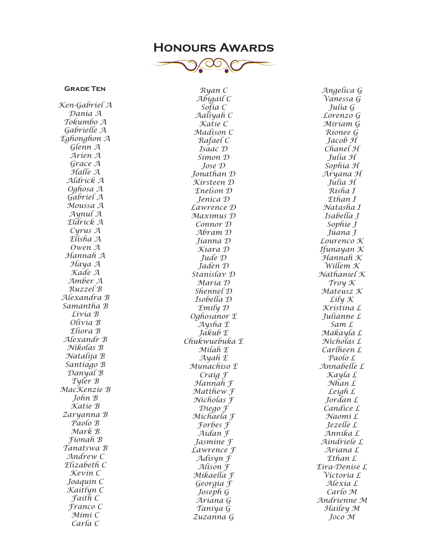## **Honours Awards**



## **Grade Ten**

*Ken-Gabriel A Dania A Tokumbo A Gabrielle A Eghonghon A Glenn A Arien A Grace A Halle A Aldrick A Oghosa A Gabriel A Moussa A Aynul A Eldrick A Cyrus A Elisha A Owen A Hannah A Haya A Kade A Amber A Ruzzel B Alexandra B Samantha B Livia B Olivia B Eliora B Alexandr B Nikolas B Natalija B Santiago B Danyal B Tyler B MacKenzie B John B Katie B Zaryanna B Paolo B Mark B Fionah B Tanatswa B Andrew C Elizabeth C Kevin C Joaquin C Kaitlyn C Faith C Franco C Mimi C Carla C*

*Ryan C Abigail C Sofia C Aaliyah C Katie C Madison C Rafael C Isaac D Simon D Jose D Jonathan D Kirsteen D Enelson D Jenica D Lawrence D Maximus D Connor D Abram D Jianna D Kiara D Jude D Jaden D Stanislav D Maria D Shennel D Isobella D Emily D Oghosanor E Aysha E Jakub E Chukwuebuka E Milah E Ayah E Munachiso E Craig F Hannah F Matthew F Nicholas F Diego F Michaela F Forbes F Aidan F Jasmine F Lawrence F Adisyn F Alison F Mikaella F Georgia F Joseph G Ariana G Taniya G Zuzanna G*

*Angelica G Vanessa G Julia G Lorenzo G Miriam G Rionee G Jacob H Chanel H Julia H Sophia H Aryana H Julia H Risha I Ethan I Natasha I Isabella J Sophie J Juana J Lourenco K Ifunayan K Hannah K Willem K Nathaniel K Troy K Mateusz K Lily K Kristina L Julianne L Sam L Makayla L Nicholas L Carlheen L Paolo L Annabelle L Kayla L Nhan L Leigh L Jordan L Candice L Naomi L Jezelle L Annika L Aindriele L Ariana L Ethan L Eira-Denise L Victoria L Alexia L Carlo M Andrienne M Hailey M Joco M*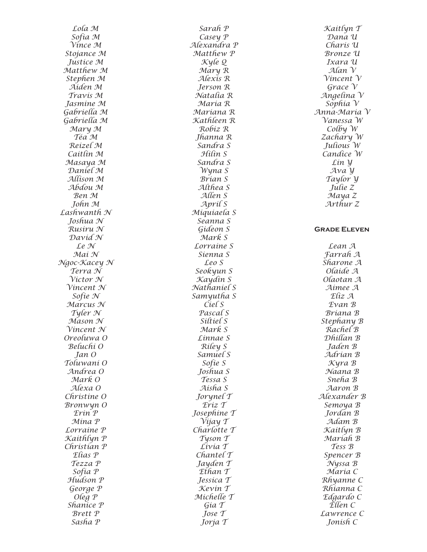*Lola M Sofia M Vince M Stojance M Justice M Matthew M Stephen M Aiden M Travis M Jasmine M Gabriella M Gabriella M Mary M Téa M Reizel M Caitlin M Masaya M Daniel M Allison M Abdou M Ben M John M Lashwanth N Joshua N Rusiru N David N Le N Mai N Ngoc-Kacey N Terra N Victor N Vincent N Sofie N Marcus N Tyler N Mason N Vincent N Oreoluwa O Beluchi O Jan O Toluwani O Andrea O Mark O Alexa O Christine O Bronwyn O Erin P Mina P Lorraine P Kaithlyn P Christian P Elias P Tezza P Sofia P Hudson P George P Oleg P Shanice P Brett P Sasha P*

*Sarah P Casey P Alexandra P Matthew P Kyle Q Mary R Alexis R Jerson R Natalia R Maria R Mariana R Kathleen R Robiz R Jhanna R Sandra S Hilin S Sandra S Wyna S Brian S Althea S Allen S April S Miquiaela S Seanna S Gideon S Mark S Lorraine S Sienna S Leo S Seokyun S Kaydin S Nathaniel S Samyutha S Ciel S Pascal S Siltiel S Mark S Linnae S Riley S Samuel S Sofie S Joshua S Tessa S Aisha S Jorynel T Eriz T Josephine T Vijay T Charlotte T Tyson T Livia T Chantel T Jayden T Ethan T Jessica T Kevin T Michelle T Gia T Jose T Jorja T*

*Kaitlyn T Dana U Charis U Bronze U Ixara U Alan V Vincent V Grace V Angelina V Sophia V Anna-Maria V Vanessa W Colby W Zachary W Julious W Candice W Lin Y Ava Y Taylor Y Julie Z Maya Z Arthur Z* **Grade Eleven** *Lean A Farrah A Sharone A Olaide A Olaotan A Aimee A Eliz A Evan B Briana B Stephany B Rachel B Dhillan B Jaden B Adrian B Kyra B Naana B Sneha B Aaron B Alexander B Semoya B Jordan B Adam B Kaitlyn B Mariah B Tess B Spencer B Nyssa B Maria C Rhyanne C Rhianna C Edgardo C Ellen C Lawrence C Jonish C*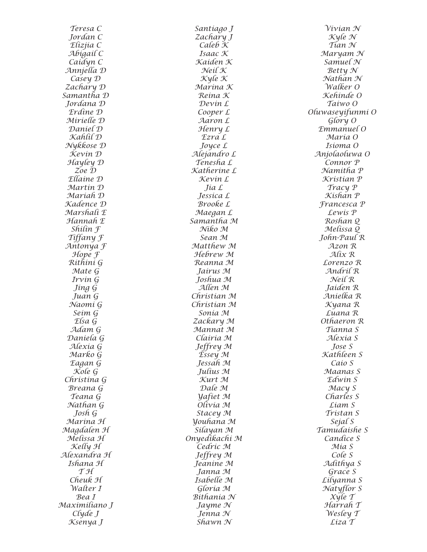*Teresa C Jordan C Elizjia C Abigail C Caidyn C Annjella D Casey D Zachary D Samantha D Jordana D Erdine D Mirielle D Daniel D Kahlil D Nykkose D Kevin D Hayley D Zoe D Ellaine D Martin D Mariah D Kadence D Marshali E Hannah E Shilin F Tiffany F Antonya F Hope F Rithini G Mate G Irvin G Jing G Juan G Naomi G Seim G Elsa G Adam G Daniela G Alexia G Marko G Eagan G Kole G Christina G Breana G Teana G Nathan G Josh G Marina H Magdalen H Melissa H Kelly H Alexandra H Ishana H T H Cheuk H Walter I Bea I Maximiliano J Clyde J Ksenya J*

*Santiago J Zachary J Caleb K Isaac K Kaiden K Neil K Kyle K Marina K Reina K Devin L Cooper L Aaron L Henry L Ezra L Joyce L Alejandro L Tenesha L Katherine L Kevin L Jia L Jessica L Brooke L Maegan L Samantha M Niko M Sean M Matthew M Hebrew M Reanna M Jairus M Joshua M Allen M Christian M Christian M Sonia M Zackary M Mannat M Clairia M Jeffrey M Essey M Jessah M Julius M Kurt M Dale M Yafiet M Olivia M Stacey M Youhana M Silayan M Onyedikachi M Cedric M Jeffrey M Jeanine M Janna M Isabelle M Gloria M Bithania N Jayme N Jenna N Shawn N*

*Vivian N Kyle N Tian N Maryam N Samuel N Betty N Nathan N Walker O Kehinde O Taiwo O Oluwaseyifunmi O Glory O Emmanuel O Maria O Isioma O Anjolaoluwa O Connor P Namitha P Kristian P Tracy P Kishan P Francesca P Lewis P Roshan Q Melissa Q John-Paul R Azon R Alix R Lorenzo R Andril R Neil R Jaiden R Anielka R Kyana R Luana R Othaeron R Tianna S Alexia S Jose S Kathleen S Caio S Maanas S Edwin S Macy S Charles S Liam S Tristan S Sejal S Tamudaishe S Candice S Mia S Cole S Adithya S Grace S Lilyanna S Natyflor S Xyle T Harrah T Wesley T Liza T*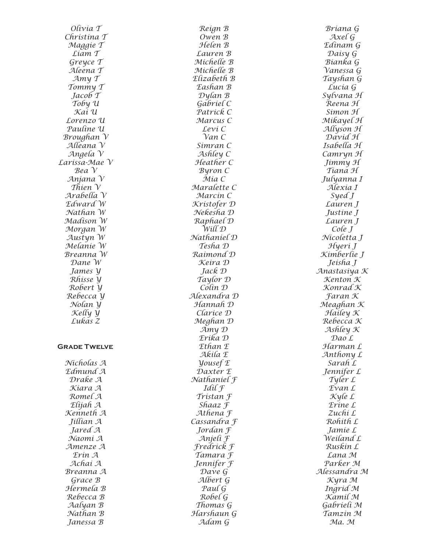*Olivia T Christina T Maggie T Liam T Greyce T Aleena T Amy T Tommy T Jacob T Toby U Kai U Lorenzo U Pauline U Broughan V Alleana V Angela V Larissa-Mae V Bea V Anjana V Thien V Arabella V Edward W Nathan W Madison W Morgan W Austyn W Melanie W Breanna W Dane W James Y Rhisse Y Robert Y Rebecca Y Nolan Y Kelly Y Lukas Z* **Grade Twelve** *Nicholas A Edmund A Drake A Kiara A Romel A Elijah A Kenneth A Jillian A Jared A Naomi A Amenze A Erin A Achai A Breanna A Grace B Hermela B Rebecca B Aalyan B*

> *Nathan B Janessa B*

*Reign B Owen B Helen B Lauren B Michelle B Michelle B Elizabeth B Eashan B Dylan B Gabriel C Patrick C Marcus C Levi C Van C Simran C Ashley C Heather C Byron C Mia C Maralette C Marcin C Kristofer D Nekesha D Raphael D Will D Nathaniel D Tesha D Raimond D Keira D Jack D Taylor D Colin D Alexandra D Hannah D Clarice D Meghan D Amy D Erika D Ethan E Akila E Yousef E Daxter E Nathaniel F Idil F Tristan F Shaaz F Athena F Cassandra F Jordan F Anjeli F Fredrick F Tamara F Jennifer F Dave G Albert G Paul G Robel G Thomas G Harshaun G Adam G*

*Briana G Axel G Edinam G Daisy G Bianka G Vanessa G Tayshan G Lucia G Sylvana H Reena H Simon H Mikayel H Allyson H David H Isabella H Camryn H Jimmy H Tiana H Julyanna I Alexia I Syed J Lauren J Justine J Lauren J Cole J Nicoletta J Hyeri J Kimberlie J Jeisha J Anastasiya K Kenton K Konrad K Faran K Meaghan K Hailey K Rebecca K Ashley K Dao L Harman L Anthony L Sarah L Jennifer L Tyler L Evan L Kyle L Erine L Zuchi L Rohith L Jamie L Weiland L Ruskin L Lana M Parker M Alessandra M Kyra M Ingrid M Kamil M Gabrieli M Tamzin M Ma. M*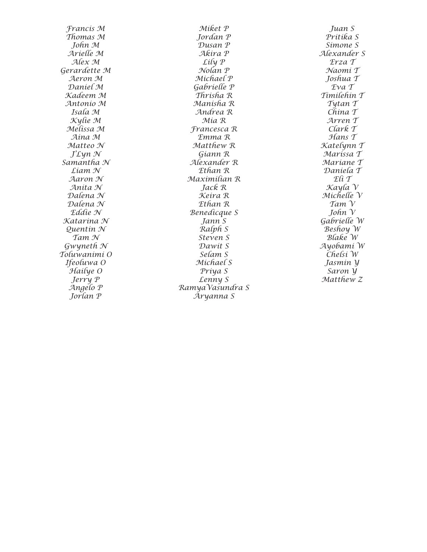*Francis M Thomas M John M Arielle M Alex M Gerardette M Aeron M Daniel M Kadeem M Antonio M Isala M Kylie M Melissa M Aina M Matteo N J'Lyn N Samantha N Liam N Aaron N Anita N Dalena N Dalena N Eddie N Katarina N Quentin N Tam N Gwyneth N Toluwanimi O Ifeoluwa O Hailye O Jerry P Angelo P Jorlan P*

*Miket P Jordan P Dusan P Akira P Lily P Nolan P Michael P Gabrielle P Thrisha R Manisha R Andrea R Mia R Francesca R Emma R Matthew R Giann R Alexander R Ethan R Maximilian R Jack R Keira R Ethan R Benedicque S Jann S Ralph S Steven S Dawit S Selam S Michael S Priya S Lenny S RamyaVasundra S Aryanna S*

*Juan S Pritika S Simone S Alexander S Erza T Naomi T Joshua T Eva T Timilehin T Tytan T China T Arren T Clark T Hans T Katelynn T Marissa T Mariane T Daniela T Eli T Kayla V Michelle V Tam V John V Gabrielle W Beshoy W Blake W Ayobami W Chelsi W Jasmin Y Saron Y Matthew Z*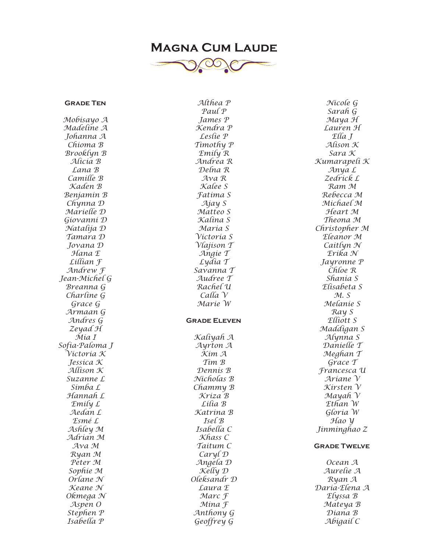# **Magna Cum Laude**

![](_page_8_Picture_1.jpeg)

*Althea P*

#### **Grade Ten**

*Mobisayo A Madeline A Johanna A Chioma B Brooklyn B Alicia B Lana B Camille B Kaden B Benjamin B Chynna D Marielle D Giovanni D Natalija D Tamara D Jovana D Hana E Lillian F Andrew F Jean-Michel G Breanna G Charline G Grace G Armaan G Andres G Zeyad H Mia I Sofia-Paloma J Victoria K Jessica K Allison K Suzanne L Simba L Hannah L Emily L Aedan L Esmé L Ashley M Adrian M Ava M Ryan M Peter M Sophie M Orlane N Keane N Okmega N Aspen O Stephen P Isabella P*

*Paul P James P Kendra P Leslie P Timothy P Emily R Andrea R Delna R Ava R Kalee S Fatima S Ajay S Matteo S Kalina S Maria S Victoria S Vlajison T Angie T Lydia T Savanna T Audree T Rachel U Calla V Marie W* **Grade Eleven** *Kaliyah A Ayrton A Kim A Tim B Dennis B Nicholas B Chammy B Kriza B Lilia B Katrina B Isel B Isabella C Khass C Taitum C Caryl D Angela D Kelly D Oleksandr D Laura E Marc F Mina F Anthony G Geoffrey G*

*Nicole G Sarah G Maya H Lauren H Ella J Alison K Sara K Kumarapeli K Anya L Zedrick L Ram M Rebecca M Michael M Heart M Theona M Christopher M Eleanor M Caitlyn N Erika N Jayronne P Chloe R Shania S Elisabeta S M. S Melanie S Ray S Elliott S Maddigan S Alynna S Danielle T Meghan T Grace T Francesca U Ariane V Kirsten V Mayah V Ethan W Gloria W Hao Y Jinminghao Z* **Grade Twelve** *Ocean A Aurelie A Ryan A Daria-Elena A Elyssa B*

*Mateya B Diana B Abigail C*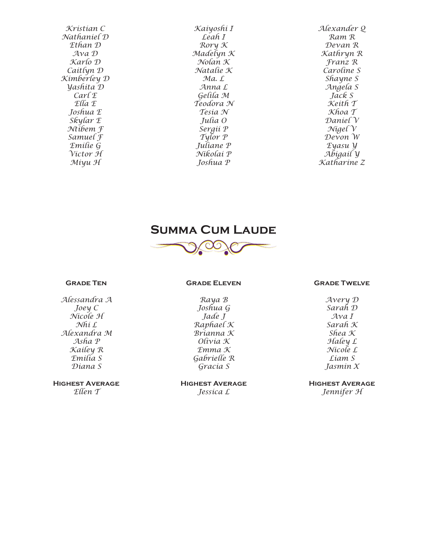*Kristian C Nathaniel D Ethan D Ava D Karlo D Caitlyn D Kimberley D Yashita D Carl E Ella E Joshua E Skylar E Ntibem F Samuel F Emilie G Victor H Miyu H*

*Kaiyoshi I Leah I Rory K Madelyn K Nolan K Natalie K Ma. L Anna L Gelila M Teodora N Tesia N Julia O Sergii P Tylor P Juliane P Nikolai P Joshua P*

*Alexander Q Ram R Devan R Kathryn R Franz R Caroline S Shayne S Angela S Jack S Keith T Khoa T Daniel V Nigel V Devon W Eyasu Y Abigail Y Katharine Z*

![](_page_9_Picture_3.jpeg)

![](_page_9_Picture_4.jpeg)

#### **Grade Ten**

*Alessandra A Joey C Nicole H Nhi L Alexandra M Asha P Kailey R Emilia S Diana S*

**Highest Average** *Ellen T*

#### **Grade Eleven**

*Raya B Joshua G Jade J Raphael K Brianna K Olivia K Emma K Gabrielle R Gracia S*

**Highest Average** *Jessica L*

#### **Grade Twelve**

*Avery D Sarah D Ava I Sarah K Shea K Haley L Nicole L Liam S Jasmin X*

**Highest Average** *Jennifer H*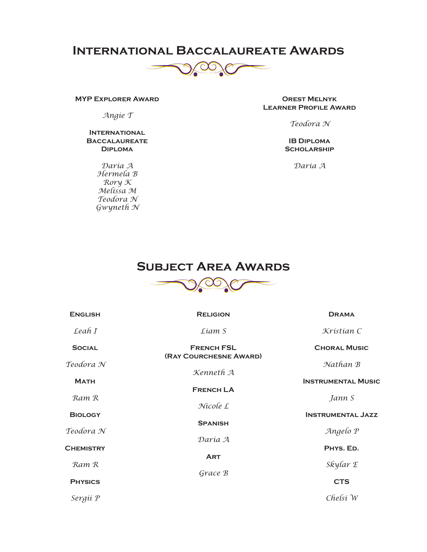## **International Baccalaureate Awards**

![](_page_10_Picture_1.jpeg)

#### **MYP Explorer Award**

*Angie T*

#### **International Baccalaureate Diploma**

*Daria A Hermela B Rory K Melissa M Teodora N Gwyneth N*

**Orest Melnyk Learner Profile Award**

*Teodora N*

**IB Diploma Scholarship**

*Daria A*

## **Subject Area Awards**

![](_page_10_Picture_11.jpeg)

| <b>ENGLISH</b>   | <b>RELIGION</b>        | <b>DRAMA</b>              |
|------------------|------------------------|---------------------------|
| $\text{Leaf } I$ | Liam S                 | Kristian C                |
| <b>SOCIAL</b>    | <b>FRENCH FSL</b>      | <b>CHORAL MUSIC</b>       |
| Teodora N        | (RAY COURCHESNE AWARD) | Nathan B                  |
| <b>MATH</b>      | Kenneth A              | <b>INSTRUMENTAL MUSIC</b> |
| Ram R            | <b>FRENCH LA</b>       | Jann S                    |
| <b>BIOLOGY</b>   | Nicole L               | <b>INSTRUMENTAL JAZZ</b>  |
| Teodora N        | <b>SPANISH</b>         | Angelo P                  |
| <b>CHEMISTRY</b> | Daría A                | PHYS. ED.                 |
| Ram R            | <b>ART</b>             | Skylar E                  |
| <b>PHYSICS</b>   | Grace B                | <b>CTS</b>                |
| Sergíi P         |                        | $Chelsi$ $W$              |